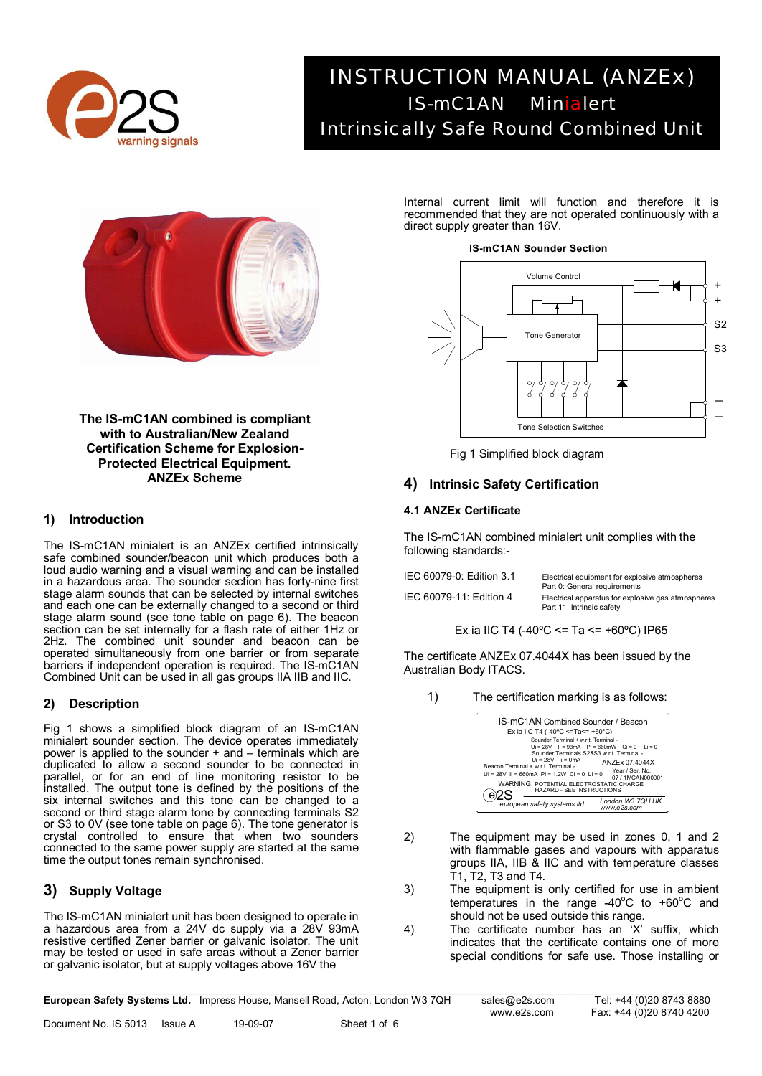

# *INSTRUCTION MANUAL (ANZEx) IS-mC1AN Minialert Intrinsically Safe Round Combined Unit*



**The IS-mC1AN combined is compliant with to Australian/New Zealand Certification Scheme for Explosion-Protected Electrical Equipment. ANZEx Scheme** 

## **1) Introduction**

The IS-mC1AN minialert is an ANZEx certified intrinsically safe combined sounder/beacon unit which produces both a loud audio warning and a visual warning and can be installed in a hazardous area. The sounder section has forty-nine first stage alarm sounds that can be selected by internal switches and each one can be externally changed to a second or third stage alarm sound (see tone table on page 6). The beacon section can be set internally for a flash rate of either 1Hz or 2Hz. The combined unit sounder and beacon can be operated simultaneously from one barrier or from separate barriers if independent operation is required. The IS-mC1AN Combined Unit can be used in all gas groups IIA IIB and IIC.

# **2) Description**

Fig 1 shows a simplified block diagram of an IS-mC1AN minialert sounder section. The device operates immediately power is applied to the sounder  $+$  and  $-$  terminals which are duplicated to allow a second sounder to be connected in parallel, or for an end of line monitoring resistor to be installed. The output tone is defined by the positions of the six internal switches and this tone can be changed to a second or third stage alarm tone by connecting terminals S2 or S3 to 0V (see tone table on page 6). The tone generator is crystal controlled to ensure that when two sounders connected to the same power supply are started at the same time the output tones remain synchronised.

# **3) Supply Voltage**

The IS-mC1AN minialert unit has been designed to operate in a hazardous area from a 24V dc supply via a 28V 93mA resistive certified Zener barrier or galvanic isolator. The unit may be tested or used in safe areas without a Zener barrier or galvanic isolator, but at supply voltages above 16V the

Internal current limit will function and therefore it is recommended that they are not operated continuously with a direct supply greater than 16V.



# Fig 1 Simplified block diagram

# **4) Intrinsic Safety Certification**

## **4.1 ANZEx Certificate**

The IS-mC1AN combined minialert unit complies with the following standards:-

| IEC 60079-0: Edition 3.1 | Electrical equipment for explosive atmospheres<br>Part 0: General requirements  |  |  |
|--------------------------|---------------------------------------------------------------------------------|--|--|
| IEC 60079-11: Edition 4  | Electrical apparatus for explosive gas atmospheres<br>Part 11: Intrinsic safety |  |  |

Ex ia IIC T4 (-40°C <= Ta <=  $+60$ °C) IP65

The certificate ANZEx 07.4044X has been issued by the Australian Body ITACS.

1) The certification marking is as follows:

| IS-mC1AN Combined Sounder / Beacon<br>Ex ia IIC T4 (-40°C <=Ta<= +60°C)<br>Sounder Terminal + w r t. Terminal -                                                                                                                                                                      |
|--------------------------------------------------------------------------------------------------------------------------------------------------------------------------------------------------------------------------------------------------------------------------------------|
| $Ui = 28V$ $Ii = 93mA$ $Pi = 660mW$ $Ci = 0$ $Ii = 0$<br>Sounder Terminals S2&S3 w.r.t. Terminal -<br>$U_i = 28V$ $i = 0mA$<br>ANZEx 07.4044X<br>Beacon Terminal + w.r.t. Terminal -<br>Year / Ser. No.<br>$Ui = 28V$ $Ii = 660mA$ $Pi = 1.2W$ $Ci = 0$ $Ii = 0$<br>07 / 1MCAN000001 |
| WARNING: POTENTIAL ELECTROSTATIC CHARGE<br>HAZARD - SEE INSTRUCTIONS                                                                                                                                                                                                                 |
| London W3 7QH UK<br>european safety systems Itd.<br>www.e2s.com                                                                                                                                                                                                                      |

- 2) The equipment may be used in zones 0, 1 and 2 with flammable gases and vapours with apparatus groups IIA, IIB & IIC and with temperature classes T1, T2, T3 and T4.
- 3) The equipment is only certified for use in ambient temperatures in the range -40 $^{\circ}$ C to +60 $^{\circ}$ C and should not be used outside this range.
- 4) The certificate number has an 'X' suffix, which indicates that the certificate contains one of more special conditions for safe use. Those installing or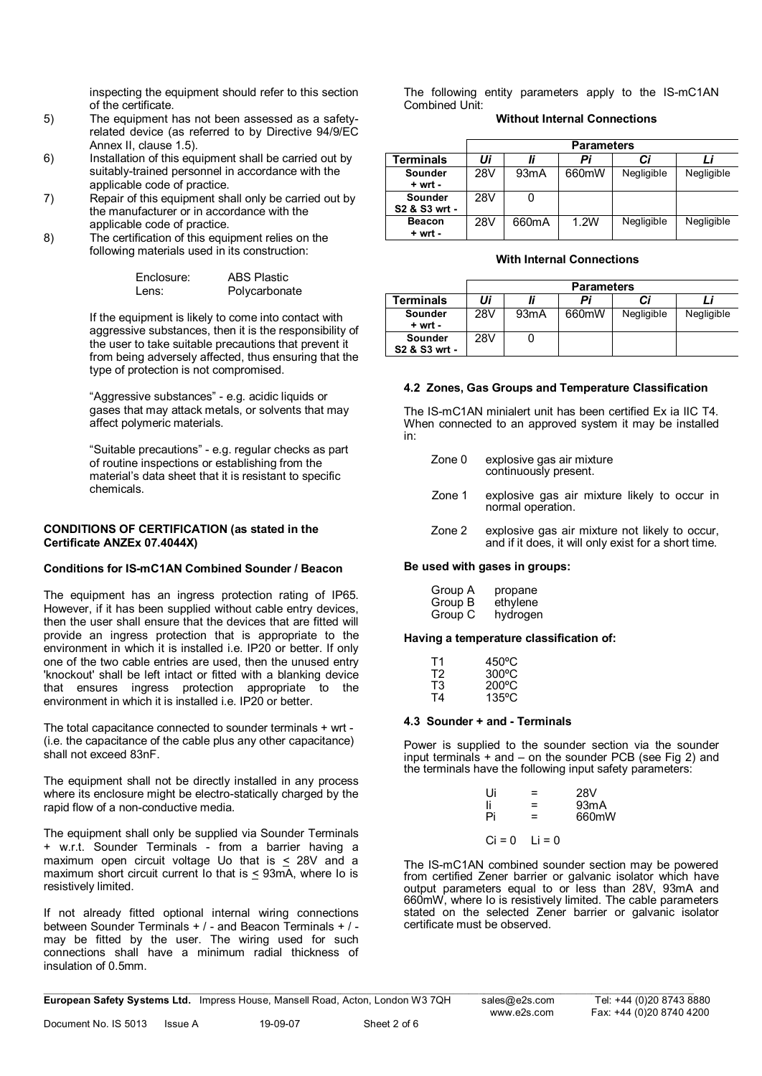inspecting the equipment should refer to this section of the certificate.

- 5) The equipment has not been assessed as a safetyrelated device (as referred to by Directive 94/9/EC Annex II, clause 1.5).
- 6) Installation of this equipment shall be carried out by suitably-trained personnel in accordance with the applicable code of practice.
- 7) Repair of this equipment shall only be carried out by the manufacturer or in accordance with the applicable code of practice.
- 8) The certification of this equipment relies on the following materials used in its construction:

| Enclosure: | <b>ABS Plastic</b> |
|------------|--------------------|
| Lens:      | Polycarbonate      |

If the equipment is likely to come into contact with aggressive substances, then it is the responsibility of the user to take suitable precautions that prevent it from being adversely affected, thus ensuring that the type of protection is not compromised.

"Aggressive substances" - e.g. acidic liquids or gases that may attack metals, or solvents that may affect polymeric materials.

"Suitable precautions" - e.g. regular checks as part of routine inspections or establishing from the material's data sheet that it is resistant to specific chemicals.

## **CONDITIONS OF CERTIFICATION (as stated in the Certificate ANZEx 07.4044X)**

## **Conditions for IS-mC1AN Combined Sounder / Beacon**

The equipment has an ingress protection rating of IP65. However, if it has been supplied without cable entry devices, then the user shall ensure that the devices that are fitted will provide an ingress protection that is appropriate to the environment in which it is installed i.e. IP20 or better. If only one of the two cable entries are used, then the unused entry 'knockout' shall be left intact or fitted with a blanking device that ensures ingress protection appropriate to the environment in which it is installed i.e. IP20 or better.

The total capacitance connected to sounder terminals + wrt - (i.e. the capacitance of the cable plus any other capacitance) shall not exceed 83nF.

The equipment shall not be directly installed in any process where its enclosure might be electro-statically charged by the rapid flow of a non-conductive media.

The equipment shall only be supplied via Sounder Terminals + w.r.t. Sounder Terminals - from a barrier having a maximum open circuit voltage Uo that is  $\leq$  28V and a maximum short circuit current Io that is  $\leq$  93mA, where Io is resistively limited.

If not already fitted optional internal wiring connections between Sounder Terminals + / - and Beacon Terminals + / may be fitted by the user. The wiring used for such connections shall have a minimum radial thickness of insulation of 0.5mm.

The following entity parameters apply to the IS-mC1AN Combined Unit:

## **Without Internal Connections**

|               | <b>Parameters</b> |                   |       |            |            |
|---------------|-------------------|-------------------|-------|------------|------------|
| Terminals     | Ui                |                   | Pi    | Сi         |            |
| Sounder       | 28V               | 93 <sub>m</sub> A | 660mW | Negligible | Negligible |
| $+ wrt -$     |                   |                   |       |            |            |
| Sounder       | 28V               |                   |       |            |            |
| S2 & S3 wrt - |                   |                   |       |            |            |
| <b>Beacon</b> | 28V               | 660mA             | 1.2W  | Negligible | Negligible |
| + wrt -       |                   |                   |       |            |            |

## **With Internal Connections**

|                                 | <b>Parameters</b> |      |       |            |            |
|---------------------------------|-------------------|------|-------|------------|------------|
| Terminals                       | Ui                |      | Pi    | Сi         |            |
| Sounder<br>$+ wrt -$            | 28V               | 93mA | 660mW | Negligible | Negligible |
| <b>Sounder</b><br>S2 & S3 wrt - | 28V               |      |       |            |            |

## **4.2 Zones, Gas Groups and Temperature Classification**

The IS-mC1AN minialert unit has been certified Ex ia IIC T4. When connected to an approved system it may be installed in:

| Zone 0 | explosive gas air mixture<br>continuously present.                |  |  |  |  |
|--------|-------------------------------------------------------------------|--|--|--|--|
| Zone 1 | explosive gas air mixture likely to occur in<br>normal operation. |  |  |  |  |

Zone 2 explosive gas air mixture not likely to occur,

# and if it does, it will only exist for a short time. **Be used with gases in groups:**

| Group A | propane  |
|---------|----------|
| Group B | ethylene |
| Group C | hydrogen |

## **Having a temperature classification of:**

| Τ1 | $450^{\circ}$ C |
|----|-----------------|
| T2 | $300^{\circ}$ C |
| T3 | $200^{\circ}$ C |
| T4 | 135°C           |

## **4.3 Sounder + and - Terminals**

Power is supplied to the sounder section via the sounder input terminals + and – on the sounder PCB (see Fig 2) and the terminals have the following input safety parameters:

| Ui       | =       | 28V   |
|----------|---------|-------|
| li       | =       | 93mA  |
| Pi       | =       | 660mW |
|          |         |       |
| $Ci = 0$ | $i = 0$ |       |

The IS-mC1AN combined sounder section may be powered from certified Zener barrier or galvanic isolator which have output parameters equal to or less than 28V, 93mA and 660mW, where Io is resistively limited. The cable parameters stated on the selected Zener barrier or galvanic isolator certificate must be observed.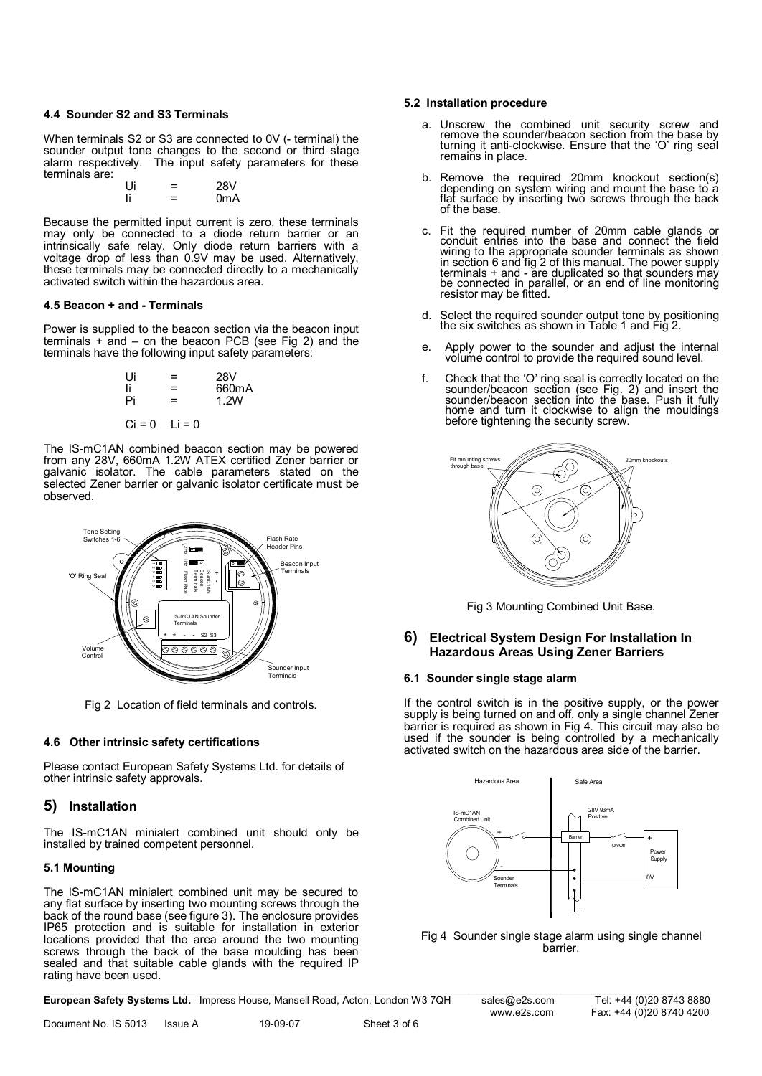#### **4.4 Sounder S2 and S3 Terminals**

When terminals S2 or S3 are connected to 0V (- terminal) the sounder output tone changes to the second or third stage alarm respectively. The input safety parameters for these terminals are:

| Ui | = | 28V              |
|----|---|------------------|
| li | ⋍ | 0 <sub>m</sub> A |

Because the permitted input current is zero, these terminals may only be connected to a diode return barrier or an intrinsically safe relay. Only diode return barriers with a voltage drop of less than 0.9V may be used. Alternatively, these terminals may be connected directly to a mechanically activated switch within the hazardous area.

## **4.5 Beacon + and - Terminals**

Power is supplied to the beacon section via the beacon input terminals + and – on the beacon PCB (see Fig 2) and the terminals have the following input safety parameters:

| Ui       | =        | 28V   |
|----------|----------|-------|
| Ιi       | =        | 660mA |
| Pi       | =        | 1.2W  |
|          |          |       |
| $Ci = 0$ | $Li = 0$ |       |

The IS-mC1AN combined beacon section may be powered from any 28V, 660mA 1.2W ATEX certified Zener barrier or galvanic isolator. The cable parameters stated on the selected Zener barrier or galvanic isolator certificate must be observed.



Fig 2 Location of field terminals and controls.

## **4.6 Other intrinsic safety certifications**

Please contact European Safety Systems Ltd. for details of other intrinsic safety approvals.

## **5) Installation**

The IS-mC1AN minialert combined unit should only be installed by trained competent personnel.

## **5.1 Mounting**

The IS-mC1AN minialert combined unit may be secured to any flat surface by inserting two mounting screws through the back of the round base (see figure 3). The enclosure provides IP65 protection and is suitable for installation in exterior locations provided that the area around the two mounting screws through the back of the base moulding has been sealed and that suitable cable glands with the required IP rating have been used.

#### **5.2 Installation procedure**

- a. Unscrew the combined unit security screw and remove the sounder/beacon section from the base by turning it anti-clockwise. Ensure that the 'O' ring seal remains in place.
- b. Remove the required 20mm knockout section(s) depending on system wiring and mount the base to a flat surface by inserting two screws through the back of the base.
- c. Fit the required number of 20mm cable glands or conduit entries into the base and connect the field wiring to the appropriate sounder terminals as shown in section 6 and fig 2 of this manual. The power supply terminals + and - are duplicated so that sounders may be connected in parallel, or an end of line monitoring resistor may be fitted.
- d. Select the required sounder output tone by positioning the six switches as shown in Table 1 and Fig 2.
- e. Apply power to the sounder and adjust the internal volume control to provide the required sound level.
- f. Check that the 'O' ring seal is correctly located on the sounder/beacon section (see Fig. 2) and insert the sounder/beacon section into the base. Push it fully home and turn it clockwise to align the mouldings before tightening the security screw.



Fig 3 Mounting Combined Unit Base.

## **6) Electrical System Design For Installation In Hazardous Areas Using Zener Barriers**

## **6.1 Sounder single stage alarm**

If the control switch is in the positive supply, or the power supply is being turned on and off, only a single channel Zener barrier is required as shown in Fig 4. This circuit may also be used if the sounder is being controlled by a mechanically activated switch on the hazardous area side of the barrier.



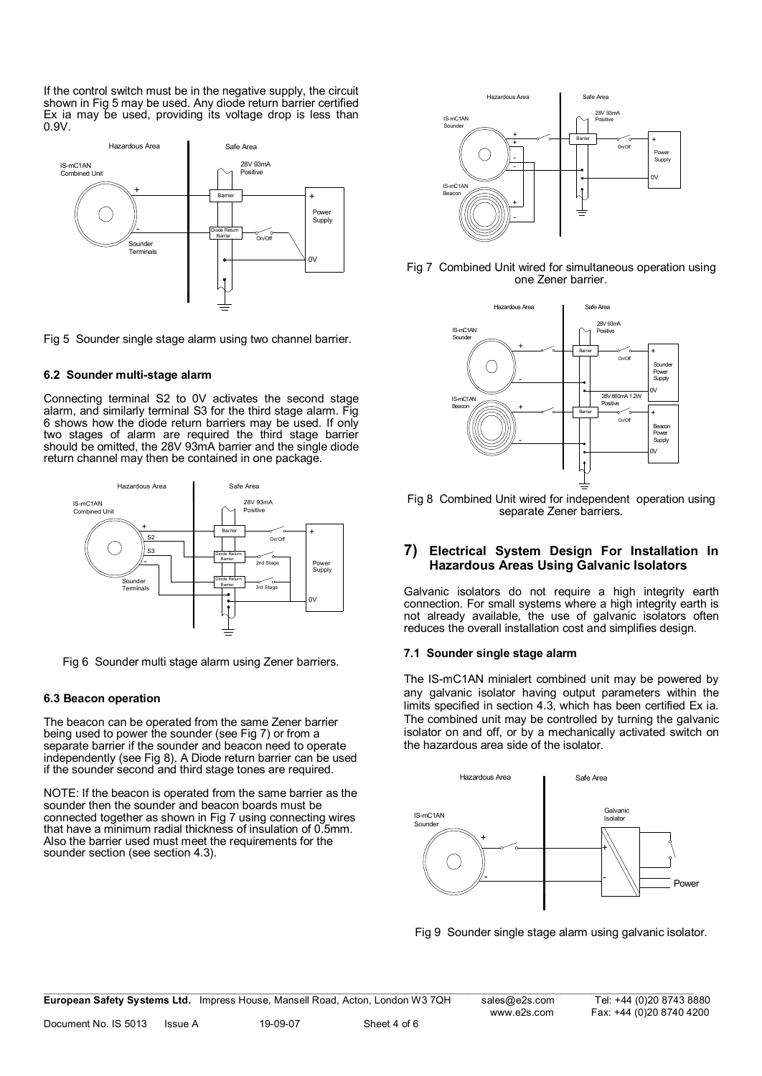If the control switch must be in the negative supply, the circuit shown in Fig 5 may be used. Any diode return barrier certified Ex ia may be used, providing its voltage drop is less than 0.9V.



Fig 5 Sounder single stage alarm using two channel barrier.

## **6.2 Sounder multi-stage alarm**

Connecting terminal S2 to 0V activates the second stage alarm, and similarly terminal S3 for the third stage alarm. Fig 6 shows how the diode return barriers may be used. If only two stages of alarm are required the third stage barrier should be omitted, the 28V 93mA barrier and the single diode return channel may then be contained in one package.



Fig 6 Sounder multi stage alarm using Zener barriers.

#### **6.3 Beacon operation**

The beacon can be operated from the same Zener barrier being used to power the sounder (see Fig 7) or from a separate barrier if the sounder and beacon need to operate independently (see Fig 8). A Diode return barrier can be used if the sounder second and third stage tones are required.

NOTE: If the beacon is operated from the same barrier as the sounder then the sounder and beacon boards must be connected together as shown in Fig 7 using connecting wires that have a minimum radial thickness of insulation of 0.5mm. Also the barrier used must meet the requirements for the sounder section (see section 4.3).



Fig 7 Combined Unit wired for simultaneous operation using one Zener barrier.



Fig 8 Combined Unit wired for independent operation using separate Zener barriers.

## **7) Electrical System Design For Installation In Hazardous Areas Using Galvanic Isolators**

Galvanic isolators do not require a high integrity earth connection. For small systems where a high integrity earth is not already available, the use of galvanic isolators often reduces the overall installation cost and simplifies design.

#### **7.1 Sounder single stage alarm**

The IS-mC1AN minialert combined unit may be powered by any galvanic isolator having output parameters within the limits specified in section 4.3, which has been certified Ex ia. The combined unit may be controlled by turning the galvanic isolator on and off, or by a mechanically activated switch on the hazardous area side of the isolator.



Fig 9 Sounder single stage alarm using galvanic isolator.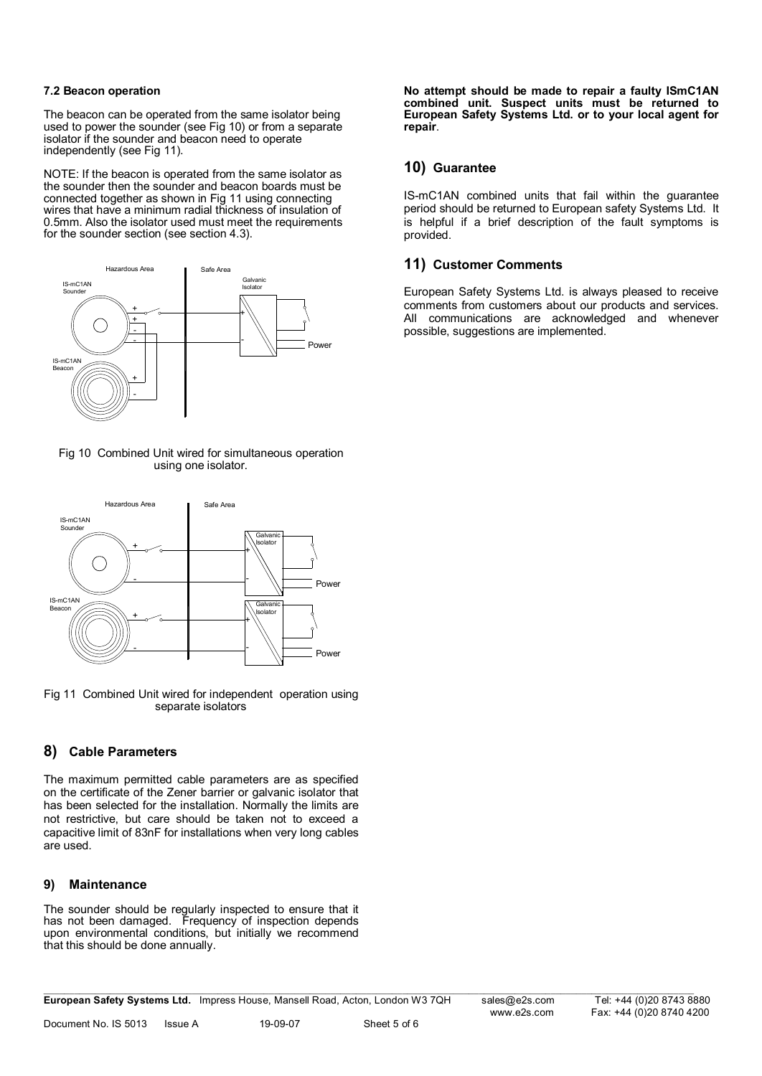## **7.2 Beacon operation**

The beacon can be operated from the same isolator being used to power the sounder (see Fig 10) or from a separate isolator if the sounder and beacon need to operate independently (see Fig 11).

NOTE: If the beacon is operated from the same isolator as the sounder then the sounder and beacon boards must be connected together as shown in Fig 11 using connecting wires that have a minimum radial thickness of insulation of 0.5mm. Also the isolator used must meet the requirements for the sounder section (see section 4.3).



Fig 10 Combined Unit wired for simultaneous operation using one isolator.



Fig 11 Combined Unit wired for independent operation using separate isolators

# **8) Cable Parameters**

The maximum permitted cable parameters are as specified on the certificate of the Zener barrier or galvanic isolator that has been selected for the installation. Normally the limits are not restrictive, but care should be taken not to exceed a capacitive limit of 83nF for installations when very long cables are used.

## **9) Maintenance**

The sounder should be regularly inspected to ensure that it has not been damaged. Frequency of inspection depends upon environmental conditions, but initially we recommend that this should be done annually.

 $\_$  , and the state of the state of the state of the state of the state of the state of the state of the state of the state of the state of the state of the state of the state of the state of the state of the state of the **European Safety Systems Ltd.** Impress House, Mansell Road, Acton, London W3 7QH [sales@e2s.com](mailto:sales@e2s.com) Tel: +44 (0)20 8743 8880

**No attempt should be made to repair a faulty ISmC1AN combined unit. Suspect units must be returned to European Safety Systems Ltd. or to your local agent for repair**.

# **10) Guarantee**

IS-mC1AN combined units that fail within the guarantee period should be returned to European safety Systems Ltd. It is helpful if a brief description of the fault symptoms is provided.

# **11) Customer Comments**

European Safety Systems Ltd. is always pleased to receive comments from customers about our products and services. All communications are acknowledged and whenever possible, suggestions are implemented.